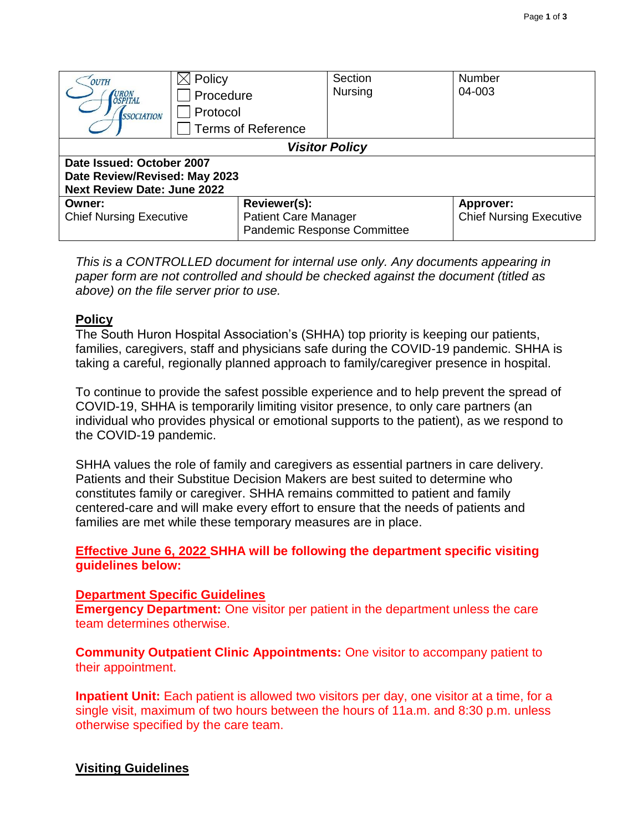| OUTH<br>URON<br>OSPITAL<br><i><b>SSOCIATION</b></i>                                              | Policy<br>Procedure<br>Protocol                                            | Section<br><b>Nursing</b> | <b>Number</b><br>04-003                            |  |
|--------------------------------------------------------------------------------------------------|----------------------------------------------------------------------------|---------------------------|----------------------------------------------------|--|
|                                                                                                  | <b>Terms of Reference</b>                                                  |                           |                                                    |  |
| <b>Visitor Policy</b>                                                                            |                                                                            |                           |                                                    |  |
| Date Issued: October 2007<br>Date Review/Revised: May 2023<br><b>Next Review Date: June 2022</b> |                                                                            |                           |                                                    |  |
| Owner:<br><b>Chief Nursing Executive</b>                                                         | Reviewer(s):<br><b>Patient Care Manager</b><br>Pandemic Response Committee |                           | <b>Approver:</b><br><b>Chief Nursing Executive</b> |  |

*This is a CONTROLLED document for internal use only. Any documents appearing in paper form are not controlled and should be checked against the document (titled as above) on the file server prior to use.*

#### **Policy**

The South Huron Hospital Association's (SHHA) top priority is keeping our patients, families, caregivers, staff and physicians safe during the COVID-19 pandemic. SHHA is taking a careful, regionally planned approach to family/caregiver presence in hospital.

To continue to provide the safest possible experience and to help prevent the spread of COVID-19, SHHA is temporarily limiting visitor presence, to only care partners (an individual who provides physical or emotional supports to the patient), as we respond to the COVID-19 pandemic.

SHHA values the role of family and caregivers as essential partners in care delivery. Patients and their Substitue Decision Makers are best suited to determine who constitutes family or caregiver. SHHA remains committed to patient and family centered-care and will make every effort to ensure that the needs of patients and families are met while these temporary measures are in place.

**Effective June 6, 2022 SHHA will be following the department specific visiting guidelines below:**

#### **Department Specific Guidelines**

**Emergency Department:** One visitor per patient in the department unless the care team determines otherwise.

**Community Outpatient Clinic Appointments:** One visitor to accompany patient to their appointment.

**Inpatient Unit:** Each patient is allowed two visitors per day, one visitor at a time, for a single visit, maximum of two hours between the hours of 11a.m. and 8:30 p.m. unless otherwise specified by the care team.

### **Visiting Guidelines**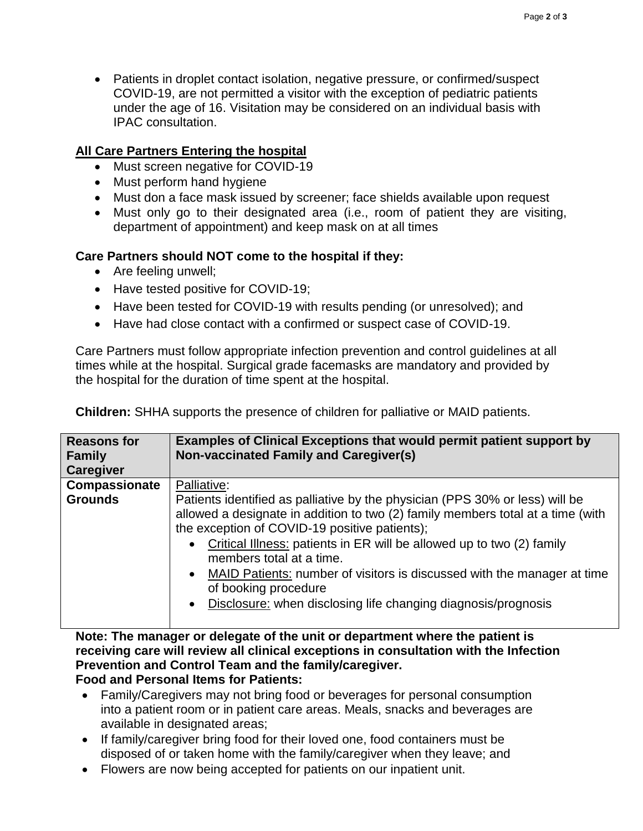• Patients in droplet contact isolation, negative pressure, or confirmed/suspect COVID-19, are not permitted a visitor with the exception of pediatric patients under the age of 16. Visitation may be considered on an individual basis with IPAC consultation.

# **All Care Partners Entering the hospital**

- Must screen negative for COVID-19
- Must perform hand hygiene
- Must don a face mask issued by screener; face shields available upon request
- Must only go to their designated area (i.e., room of patient they are visiting, department of appointment) and keep mask on at all times

## **Care Partners should NOT come to the hospital if they:**

- Are feeling unwell;
- Have tested positive for COVID-19;
- Have been tested for COVID-19 with results pending (or unresolved); and
- Have had close contact with a confirmed or suspect case of COVID-19.

Care Partners must follow appropriate infection prevention and control guidelines at all times while at the hospital. Surgical grade facemasks are mandatory and provided by the hospital for the duration of time spent at the hospital.

| <b>Reasons for</b><br><b>Family</b> | <b>Examples of Clinical Exceptions that would permit patient support by</b><br><b>Non-vaccinated Family and Caregiver(s)</b>                                                                                                                                                                                                                                                                                                                                                                    |
|-------------------------------------|-------------------------------------------------------------------------------------------------------------------------------------------------------------------------------------------------------------------------------------------------------------------------------------------------------------------------------------------------------------------------------------------------------------------------------------------------------------------------------------------------|
| <b>Caregiver</b>                    |                                                                                                                                                                                                                                                                                                                                                                                                                                                                                                 |
| Compassionate                       | Palliative:                                                                                                                                                                                                                                                                                                                                                                                                                                                                                     |
| <b>Grounds</b>                      | Patients identified as palliative by the physician (PPS 30% or less) will be<br>allowed a designate in addition to two (2) family members total at a time (with<br>the exception of COVID-19 positive patients);<br>• Critical Illness: patients in ER will be allowed up to two (2) family<br>members total at a time.<br>• MAID Patients: number of visitors is discussed with the manager at time<br>of booking procedure<br>• Disclosure: when disclosing life changing diagnosis/prognosis |

**Children:** SHHA supports the presence of children for palliative or MAID patients.

**Note: The manager or delegate of the unit or department where the patient is receiving care will review all clinical exceptions in consultation with the Infection Prevention and Control Team and the family/caregiver.**

## **Food and Personal Items for Patients:**

- Family/Caregivers may not bring food or beverages for personal consumption into a patient room or in patient care areas. Meals, snacks and beverages are available in designated areas;
- If family/caregiver bring food for their loved one, food containers must be disposed of or taken home with the family/caregiver when they leave; and
- Flowers are now being accepted for patients on our inpatient unit.